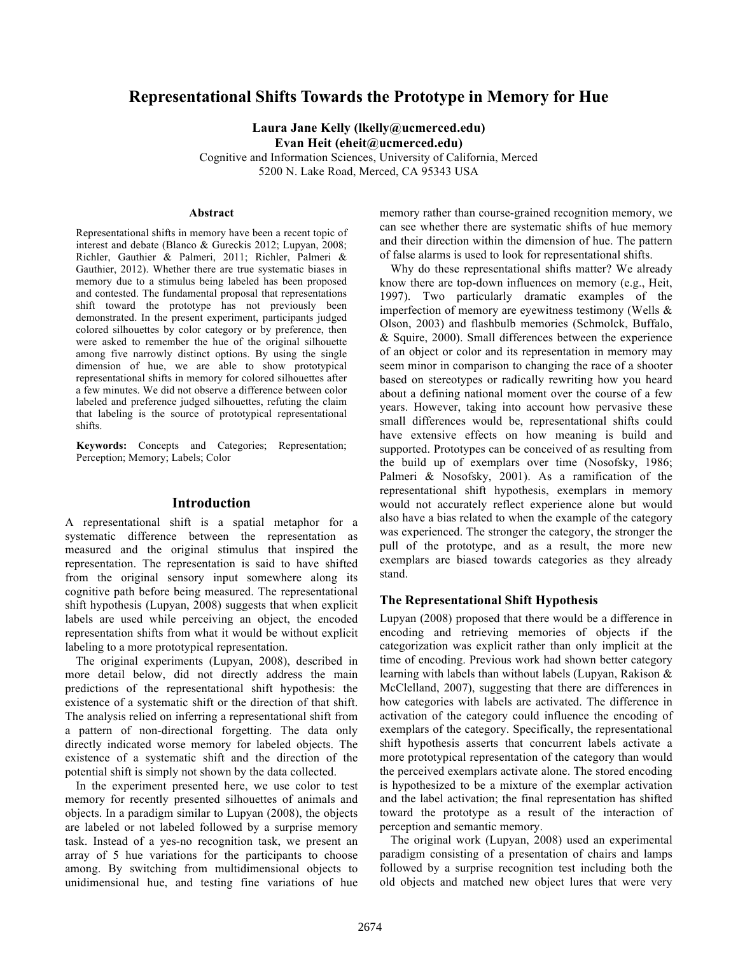# **Representational Shifts Towards the Prototype in Memory for Hue**

**Laura Jane Kelly (lkelly@ucmerced.edu) Evan Heit (eheit@ucmerced.edu)**

Cognitive and Information Sciences, University of California, Merced 5200 N. Lake Road, Merced, CA 95343 USA

#### **Abstract**

Representational shifts in memory have been a recent topic of interest and debate (Blanco & Gureckis 2012; Lupyan, 2008; Richler, Gauthier & Palmeri, 2011; Richler, Palmeri & Gauthier, 2012). Whether there are true systematic biases in memory due to a stimulus being labeled has been proposed and contested. The fundamental proposal that representations shift toward the prototype has not previously been demonstrated. In the present experiment, participants judged colored silhouettes by color category or by preference, then were asked to remember the hue of the original silhouette among five narrowly distinct options. By using the single dimension of hue, we are able to show prototypical representational shifts in memory for colored silhouettes after a few minutes. We did not observe a difference between color labeled and preference judged silhouettes, refuting the claim that labeling is the source of prototypical representational shifts.

**Keywords:** Concepts and Categories; Representation; Perception; Memory; Labels; Color

### **Introduction**

A representational shift is a spatial metaphor for a systematic difference between the representation as measured and the original stimulus that inspired the representation. The representation is said to have shifted from the original sensory input somewhere along its cognitive path before being measured. The representational shift hypothesis (Lupyan, 2008) suggests that when explicit labels are used while perceiving an object, the encoded representation shifts from what it would be without explicit labeling to a more prototypical representation.

The original experiments (Lupyan, 2008), described in more detail below, did not directly address the main predictions of the representational shift hypothesis: the existence of a systematic shift or the direction of that shift. The analysis relied on inferring a representational shift from a pattern of non-directional forgetting. The data only directly indicated worse memory for labeled objects. The existence of a systematic shift and the direction of the potential shift is simply not shown by the data collected.

In the experiment presented here, we use color to test memory for recently presented silhouettes of animals and objects. In a paradigm similar to Lupyan (2008), the objects are labeled or not labeled followed by a surprise memory task. Instead of a yes-no recognition task, we present an array of 5 hue variations for the participants to choose among. By switching from multidimensional objects to unidimensional hue, and testing fine variations of hue

memory rather than course-grained recognition memory, we can see whether there are systematic shifts of hue memory and their direction within the dimension of hue. The pattern of false alarms is used to look for representational shifts.

Why do these representational shifts matter? We already know there are top-down influences on memory (e.g., Heit, 1997). Two particularly dramatic examples of the imperfection of memory are eyewitness testimony (Wells & Olson, 2003) and flashbulb memories (Schmolck, Buffalo, & Squire, 2000). Small differences between the experience of an object or color and its representation in memory may seem minor in comparison to changing the race of a shooter based on stereotypes or radically rewriting how you heard about a defining national moment over the course of a few years. However, taking into account how pervasive these small differences would be, representational shifts could have extensive effects on how meaning is build and supported. Prototypes can be conceived of as resulting from the build up of exemplars over time (Nosofsky, 1986; Palmeri & Nosofsky, 2001). As a ramification of the representational shift hypothesis, exemplars in memory would not accurately reflect experience alone but would also have a bias related to when the example of the category was experienced. The stronger the category, the stronger the pull of the prototype, and as a result, the more new exemplars are biased towards categories as they already stand.

#### **The Representational Shift Hypothesis**

Lupyan (2008) proposed that there would be a difference in encoding and retrieving memories of objects if the categorization was explicit rather than only implicit at the time of encoding. Previous work had shown better category learning with labels than without labels (Lupyan, Rakison & McClelland, 2007), suggesting that there are differences in how categories with labels are activated. The difference in activation of the category could influence the encoding of exemplars of the category. Specifically, the representational shift hypothesis asserts that concurrent labels activate a more prototypical representation of the category than would the perceived exemplars activate alone. The stored encoding is hypothesized to be a mixture of the exemplar activation and the label activation; the final representation has shifted toward the prototype as a result of the interaction of perception and semantic memory.

The original work (Lupyan, 2008) used an experimental paradigm consisting of a presentation of chairs and lamps followed by a surprise recognition test including both the old objects and matched new object lures that were very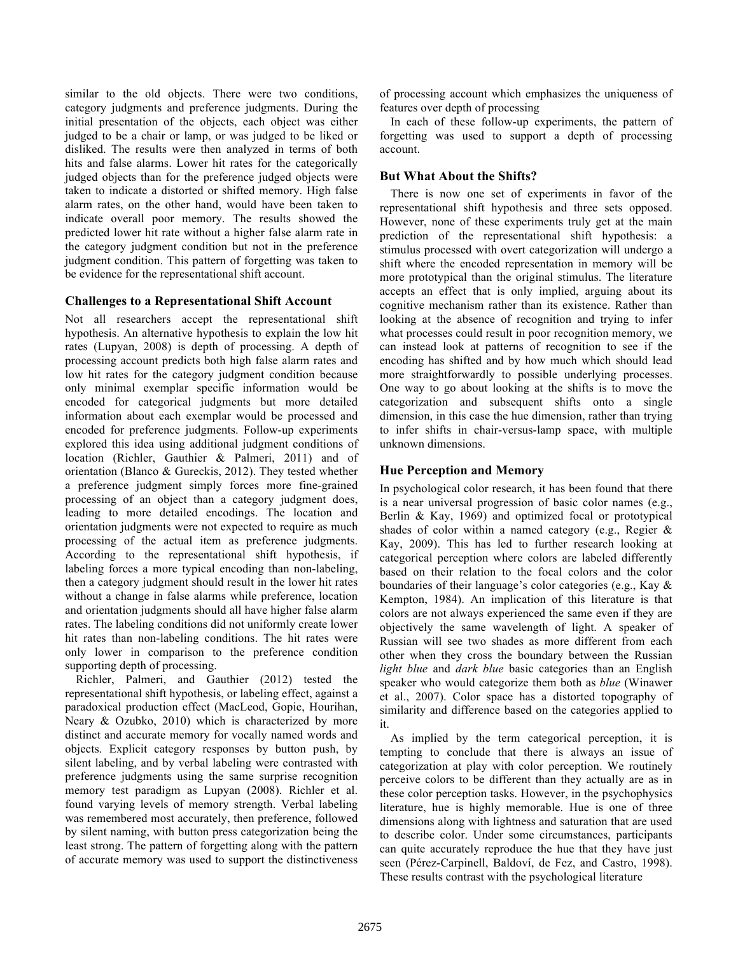similar to the old objects. There were two conditions, category judgments and preference judgments. During the initial presentation of the objects, each object was either judged to be a chair or lamp, or was judged to be liked or disliked. The results were then analyzed in terms of both hits and false alarms. Lower hit rates for the categorically judged objects than for the preference judged objects were taken to indicate a distorted or shifted memory. High false alarm rates, on the other hand, would have been taken to indicate overall poor memory. The results showed the predicted lower hit rate without a higher false alarm rate in the category judgment condition but not in the preference judgment condition. This pattern of forgetting was taken to be evidence for the representational shift account.

### **Challenges to a Representational Shift Account**

Not all researchers accept the representational shift hypothesis. An alternative hypothesis to explain the low hit rates (Lupyan, 2008) is depth of processing. A depth of processing account predicts both high false alarm rates and low hit rates for the category judgment condition because only minimal exemplar specific information would be encoded for categorical judgments but more detailed information about each exemplar would be processed and encoded for preference judgments. Follow-up experiments explored this idea using additional judgment conditions of location (Richler, Gauthier & Palmeri, 2011) and of orientation (Blanco & Gureckis, 2012). They tested whether a preference judgment simply forces more fine-grained processing of an object than a category judgment does, leading to more detailed encodings. The location and orientation judgments were not expected to require as much processing of the actual item as preference judgments. According to the representational shift hypothesis, if labeling forces a more typical encoding than non-labeling, then a category judgment should result in the lower hit rates without a change in false alarms while preference, location and orientation judgments should all have higher false alarm rates. The labeling conditions did not uniformly create lower hit rates than non-labeling conditions. The hit rates were only lower in comparison to the preference condition supporting depth of processing.

Richler, Palmeri, and Gauthier (2012) tested the representational shift hypothesis, or labeling effect, against a paradoxical production effect (MacLeod, Gopie, Hourihan, Neary & Ozubko, 2010) which is characterized by more distinct and accurate memory for vocally named words and objects. Explicit category responses by button push, by silent labeling, and by verbal labeling were contrasted with preference judgments using the same surprise recognition memory test paradigm as Lupyan (2008). Richler et al. found varying levels of memory strength. Verbal labeling was remembered most accurately, then preference, followed by silent naming, with button press categorization being the least strong. The pattern of forgetting along with the pattern of accurate memory was used to support the distinctiveness

of processing account which emphasizes the uniqueness of features over depth of processing

In each of these follow-up experiments, the pattern of forgetting was used to support a depth of processing account.

### **But What About the Shifts?**

There is now one set of experiments in favor of the representational shift hypothesis and three sets opposed. However, none of these experiments truly get at the main prediction of the representational shift hypothesis: a stimulus processed with overt categorization will undergo a shift where the encoded representation in memory will be more prototypical than the original stimulus. The literature accepts an effect that is only implied, arguing about its cognitive mechanism rather than its existence. Rather than looking at the absence of recognition and trying to infer what processes could result in poor recognition memory, we can instead look at patterns of recognition to see if the encoding has shifted and by how much which should lead more straightforwardly to possible underlying processes. One way to go about looking at the shifts is to move the categorization and subsequent shifts onto a single dimension, in this case the hue dimension, rather than trying to infer shifts in chair-versus-lamp space, with multiple unknown dimensions.

## **Hue Perception and Memory**

In psychological color research, it has been found that there is a near universal progression of basic color names (e.g., Berlin & Kay, 1969) and optimized focal or prototypical shades of color within a named category (e.g., Regier & Kay, 2009). This has led to further research looking at categorical perception where colors are labeled differently based on their relation to the focal colors and the color boundaries of their language's color categories (e.g., Kay & Kempton, 1984). An implication of this literature is that colors are not always experienced the same even if they are objectively the same wavelength of light. A speaker of Russian will see two shades as more different from each other when they cross the boundary between the Russian *light blue* and *dark blue* basic categories than an English speaker who would categorize them both as *blue* (Winawer et al., 2007). Color space has a distorted topography of similarity and difference based on the categories applied to it.

As implied by the term categorical perception, it is tempting to conclude that there is always an issue of categorization at play with color perception. We routinely perceive colors to be different than they actually are as in these color perception tasks. However, in the psychophysics literature, hue is highly memorable. Hue is one of three dimensions along with lightness and saturation that are used to describe color. Under some circumstances, participants can quite accurately reproduce the hue that they have just seen (Pérez-Carpinell, Baldoví, de Fez, and Castro, 1998). These results contrast with the psychological literature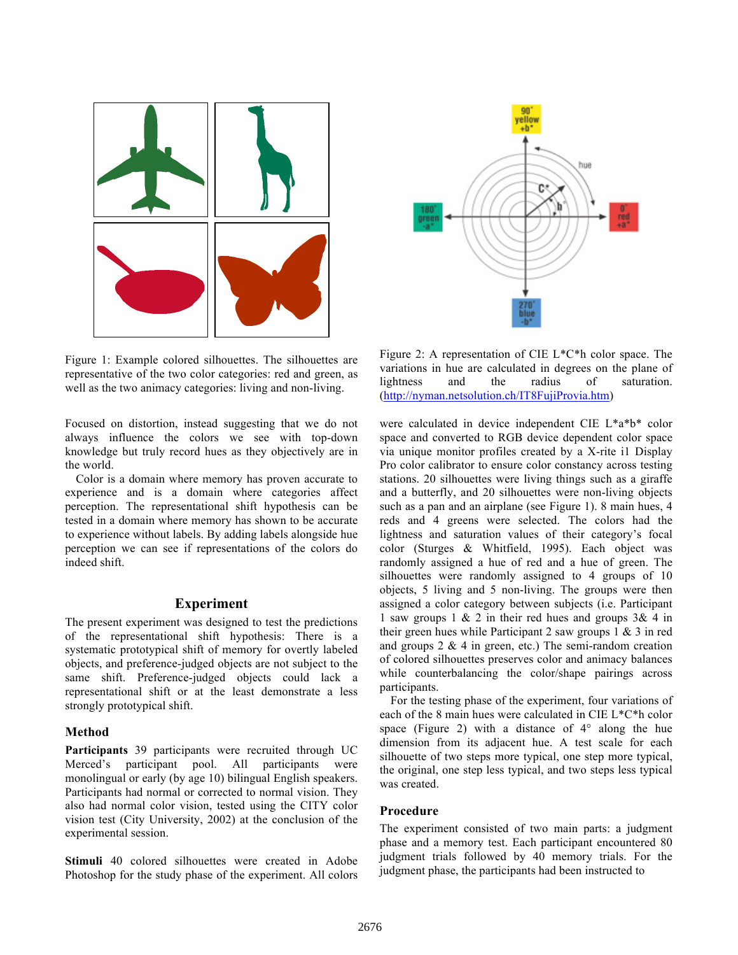

Figure 1: Example colored silhouettes. The silhouettes are representative of the two color categories: red and green, as well as the two animacy categories: living and non-living.

Focused on distortion, instead suggesting that we do not always influence the colors we see with top-down knowledge but truly record hues as they objectively are in the world.

Color is a domain where memory has proven accurate to experience and is a domain where categories affect perception. The representational shift hypothesis can be tested in a domain where memory has shown to be accurate to experience without labels. By adding labels alongside hue perception we can see if representations of the colors do indeed shift.

## **Experiment**

The present experiment was designed to test the predictions of the representational shift hypothesis: There is a systematic prototypical shift of memory for overtly labeled objects, and preference-judged objects are not subject to the same shift. Preference-judged objects could lack a representational shift or at the least demonstrate a less strongly prototypical shift.

#### **Method**

**Participants** 39 participants were recruited through UC Merced's participant pool. All participants were monolingual or early (by age 10) bilingual English speakers. Participants had normal or corrected to normal vision. They also had normal color vision, tested using the CITY color vision test (City University, 2002) at the conclusion of the experimental session.

Stimuli 40 colored silhouettes were created in Adobe Photoshop for the study phase of the experiment. All colors



Figure 2: A representation of CIE L\*C\*h color space. The variations in hue are calculated in degrees on the plane of lightness and the radius of saturation. (http://nyman.netsolution.ch/IT8FujiProvia.htm)

were calculated in device independent CIE L\*a\*b\* color space and converted to RGB device dependent color space via unique monitor profiles created by a X-rite i1 Display Pro color calibrator to ensure color constancy across testing stations. 20 silhouettes were living things such as a giraffe and a butterfly, and 20 silhouettes were non-living objects such as a pan and an airplane (see Figure 1). 8 main hues, 4 reds and 4 greens were selected. The colors had the lightness and saturation values of their category's focal color (Sturges & Whitfield, 1995). Each object was randomly assigned a hue of red and a hue of green. The silhouettes were randomly assigned to 4 groups of 10 objects, 5 living and 5 non-living. The groups were then assigned a color category between subjects (i.e. Participant 1 saw groups 1  $\&$  2 in their red hues and groups 3 $\&$  4 in their green hues while Participant 2 saw groups 1 & 3 in red and groups  $2 \& 4$  in green, etc.) The semi-random creation of colored silhouettes preserves color and animacy balances while counterbalancing the color/shape pairings across participants.

For the testing phase of the experiment, four variations of each of the 8 main hues were calculated in CIE L\*C\*h color space (Figure 2) with a distance of  $4^\circ$  along the hue dimension from its adjacent hue. A test scale for each silhouette of two steps more typical, one step more typical, the original, one step less typical, and two steps less typical was created.

### **Procedure**

The experiment consisted of two main parts: a judgment phase and a memory test. Each participant encountered 80 judgment trials followed by 40 memory trials. For the judgment phase, the participants had been instructed to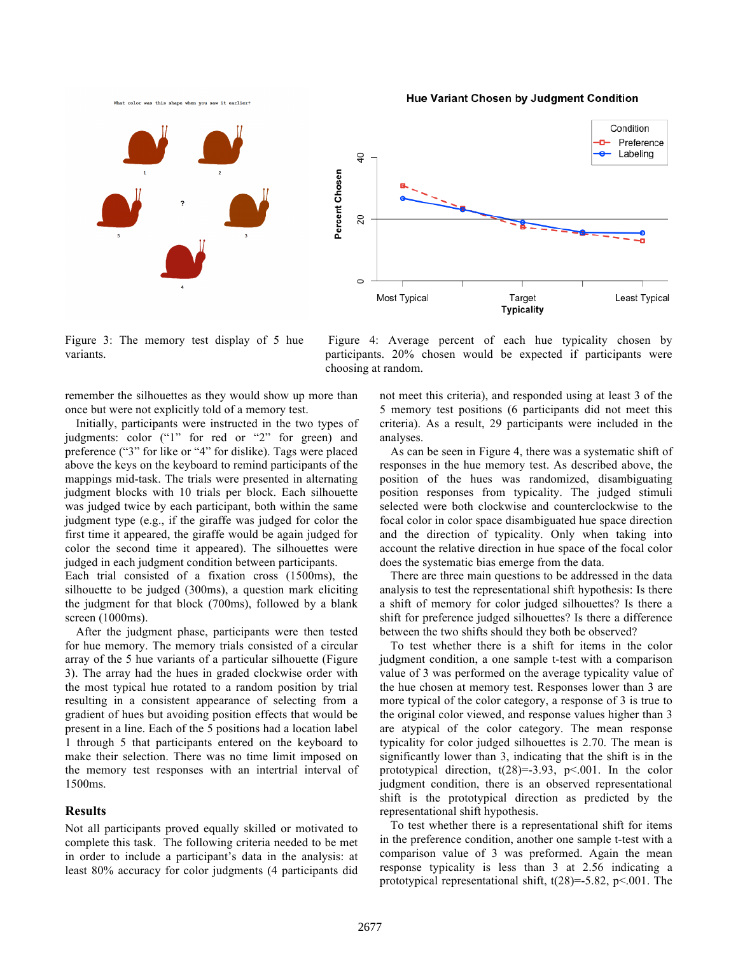What color was this shape when you saw it earlier?

**Hue Variant Chosen by Judgment Condition** 



Figure 3: The memory test display of 5 hue variants.

Figure 4: Average percent of each hue typicality chosen by participants. 20% chosen would be expected if participants were choosing at random.

remember the silhouettes as they would show up more than once but were not explicitly told of a memory test.

Initially, participants were instructed in the two types of judgments: color ("1" for red or "2" for green) and preference ("3" for like or "4" for dislike). Tags were placed above the keys on the keyboard to remind participants of the mappings mid-task. The trials were presented in alternating judgment blocks with 10 trials per block. Each silhouette was judged twice by each participant, both within the same judgment type (e.g., if the giraffe was judged for color the first time it appeared, the giraffe would be again judged for color the second time it appeared). The silhouettes were judged in each judgment condition between participants.

Each trial consisted of a fixation cross (1500ms), the silhouette to be judged (300ms), a question mark eliciting the judgment for that block (700ms), followed by a blank screen (1000ms).

After the judgment phase, participants were then tested for hue memory. The memory trials consisted of a circular array of the 5 hue variants of a particular silhouette (Figure 3). The array had the hues in graded clockwise order with the most typical hue rotated to a random position by trial resulting in a consistent appearance of selecting from a gradient of hues but avoiding position effects that would be present in a line. Each of the 5 positions had a location label 1 through 5 that participants entered on the keyboard to make their selection. There was no time limit imposed on the memory test responses with an intertrial interval of 1500ms.

### **Results**

Not all participants proved equally skilled or motivated to complete this task. The following criteria needed to be met in order to include a participant's data in the analysis: at least 80% accuracy for color judgments (4 participants did not meet this criteria), and responded using at least 3 of the 5 memory test positions (6 participants did not meet this criteria). As a result, 29 participants were included in the analyses.

As can be seen in Figure 4, there was a systematic shift of responses in the hue memory test. As described above, the position of the hues was randomized, disambiguating position responses from typicality. The judged stimuli selected were both clockwise and counterclockwise to the focal color in color space disambiguated hue space direction and the direction of typicality. Only when taking into account the relative direction in hue space of the focal color does the systematic bias emerge from the data.

There are three main questions to be addressed in the data analysis to test the representational shift hypothesis: Is there a shift of memory for color judged silhouettes? Is there a shift for preference judged silhouettes? Is there a difference between the two shifts should they both be observed?

To test whether there is a shift for items in the color judgment condition, a one sample t-test with a comparison value of 3 was performed on the average typicality value of the hue chosen at memory test. Responses lower than 3 are more typical of the color category, a response of 3 is true to the original color viewed, and response values higher than 3 are atypical of the color category. The mean response typicality for color judged silhouettes is 2.70. The mean is significantly lower than 3, indicating that the shift is in the prototypical direction,  $t(28)=3.93$ ,  $p<.001$ . In the color judgment condition, there is an observed representational shift is the prototypical direction as predicted by the representational shift hypothesis.

To test whether there is a representational shift for items in the preference condition, another one sample t-test with a comparison value of 3 was preformed. Again the mean response typicality is less than 3 at 2.56 indicating a prototypical representational shift,  $t(28)=5.82$ ,  $p<0.01$ . The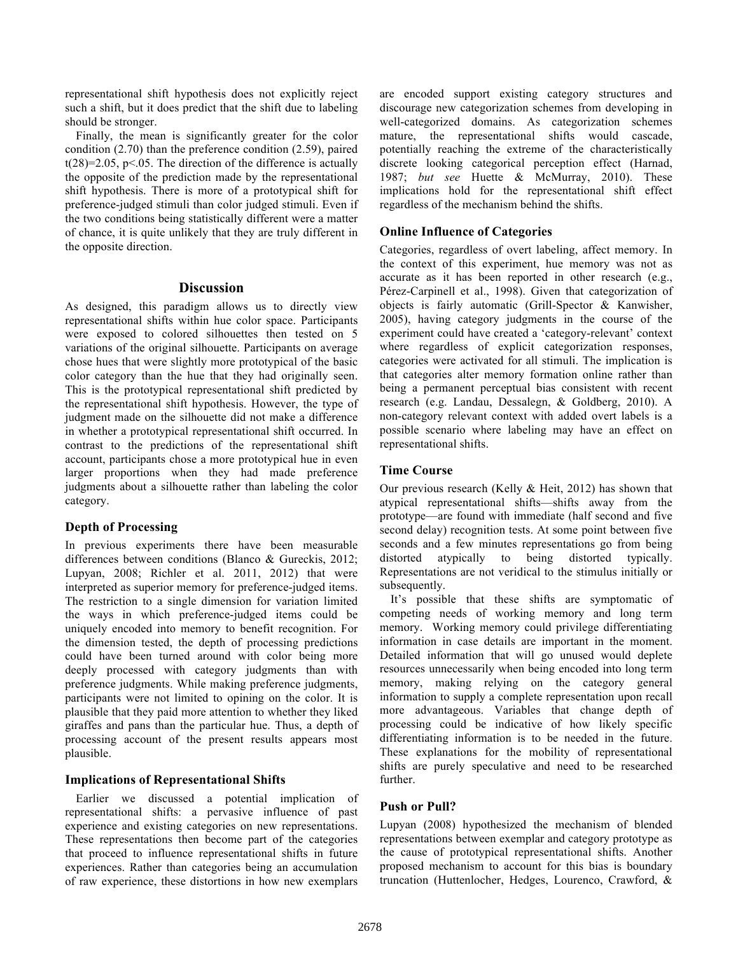representational shift hypothesis does not explicitly reject such a shift, but it does predict that the shift due to labeling should be stronger.

Finally, the mean is significantly greater for the color condition (2.70) than the preference condition (2.59), paired  $t(28)=2.05$ ,  $p<.05$ . The direction of the difference is actually the opposite of the prediction made by the representational shift hypothesis. There is more of a prototypical shift for preference-judged stimuli than color judged stimuli. Even if the two conditions being statistically different were a matter of chance, it is quite unlikely that they are truly different in the opposite direction.

### **Discussion**

As designed, this paradigm allows us to directly view representational shifts within hue color space. Participants were exposed to colored silhouettes then tested on 5 variations of the original silhouette. Participants on average chose hues that were slightly more prototypical of the basic color category than the hue that they had originally seen. This is the prototypical representational shift predicted by the representational shift hypothesis. However, the type of judgment made on the silhouette did not make a difference in whether a prototypical representational shift occurred. In contrast to the predictions of the representational shift account, participants chose a more prototypical hue in even larger proportions when they had made preference judgments about a silhouette rather than labeling the color category.

### **Depth of Processing**

In previous experiments there have been measurable differences between conditions (Blanco & Gureckis, 2012; Lupyan, 2008; Richler et al. 2011, 2012) that were interpreted as superior memory for preference-judged items. The restriction to a single dimension for variation limited the ways in which preference-judged items could be uniquely encoded into memory to benefit recognition. For the dimension tested, the depth of processing predictions could have been turned around with color being more deeply processed with category judgments than with preference judgments. While making preference judgments, participants were not limited to opining on the color. It is plausible that they paid more attention to whether they liked giraffes and pans than the particular hue. Thus, a depth of processing account of the present results appears most plausible.

### **Implications of Representational Shifts**

Earlier we discussed a potential implication of representational shifts: a pervasive influence of past experience and existing categories on new representations. These representations then become part of the categories that proceed to influence representational shifts in future experiences. Rather than categories being an accumulation of raw experience, these distortions in how new exemplars

are encoded support existing category structures and discourage new categorization schemes from developing in well-categorized domains. As categorization schemes mature, the representational shifts would cascade, potentially reaching the extreme of the characteristically discrete looking categorical perception effect (Harnad, 1987; *but see* Huette & McMurray, 2010). These implications hold for the representational shift effect regardless of the mechanism behind the shifts.

## **Online Influence of Categories**

Categories, regardless of overt labeling, affect memory. In the context of this experiment, hue memory was not as accurate as it has been reported in other research (e.g., Pérez-Carpinell et al., 1998). Given that categorization of objects is fairly automatic (Grill-Spector & Kanwisher, 2005), having category judgments in the course of the experiment could have created a 'category-relevant' context where regardless of explicit categorization responses, categories were activated for all stimuli. The implication is that categories alter memory formation online rather than being a permanent perceptual bias consistent with recent research (e.g. Landau, Dessalegn, & Goldberg, 2010). A non-category relevant context with added overt labels is a possible scenario where labeling may have an effect on representational shifts.

## **Time Course**

Our previous research (Kelly & Heit, 2012) has shown that atypical representational shifts—shifts away from the prototype—are found with immediate (half second and five second delay) recognition tests. At some point between five seconds and a few minutes representations go from being distorted atypically to being distorted typically. Representations are not veridical to the stimulus initially or subsequently.

It's possible that these shifts are symptomatic of competing needs of working memory and long term memory. Working memory could privilege differentiating information in case details are important in the moment. Detailed information that will go unused would deplete resources unnecessarily when being encoded into long term memory, making relying on the category general information to supply a complete representation upon recall more advantageous. Variables that change depth of processing could be indicative of how likely specific differentiating information is to be needed in the future. These explanations for the mobility of representational shifts are purely speculative and need to be researched further.

## **Push or Pull?**

Lupyan (2008) hypothesized the mechanism of blended representations between exemplar and category prototype as the cause of prototypical representational shifts. Another proposed mechanism to account for this bias is boundary truncation (Huttenlocher, Hedges, Lourenco, Crawford, &